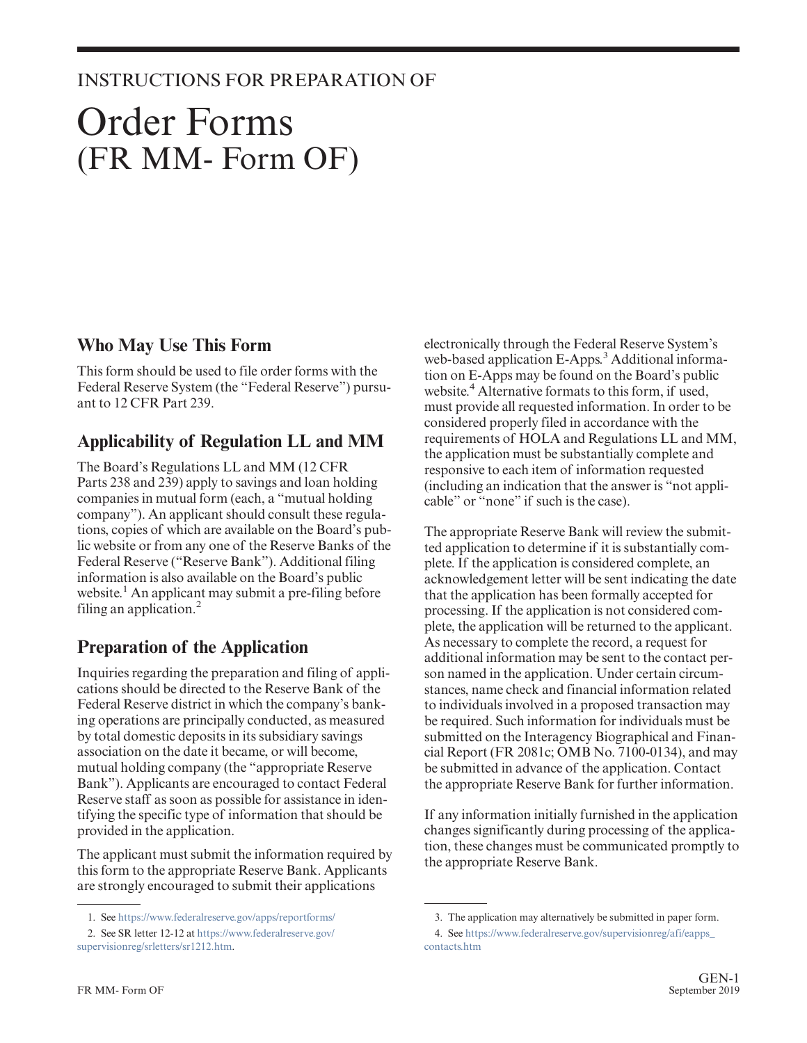#### INSTRUCTIONS FOR PREPARATION OF

# Order Forms (FR MM- Form OF)

#### **Who May Use This Form**

This form should be used to file order forms with the Federal Reserve System (the "Federal Reserve") pursuant to 12 CFR Part 239.

### **Applicability of Regulation LL and MM**

The Board's Regulations LL and MM (12 CFR Parts 238 and 239) apply to savings and loan holding companies in mutual form (each, a "mutual holding company"). An applicant should consult these regulations, copies of which are available on the Board's public website or from any one of the Reserve Banks of the Federal Reserve ("Reserve Bank"). Additional filing information is also available on the Board's public website.<sup>1</sup> An applicant may submit a pre-filing before filing an application. $<sup>2</sup>$ </sup>

## **Preparation of the Application**

Inquiries regarding the preparation and filing of applications should be directed to the Reserve Bank of the Federal Reserve district in which the company's banking operations are principally conducted, as measured by total domestic deposits in its subsidiary savings association on the date it became, or will become, mutual holding company (the "appropriate Reserve Bank"). Applicants are encouraged to contact Federal Reserve staff as soon as possible for assistance in identifying the specific type of information that should be provided in the application.

The applicant must submit the information required by this form to the appropriate Reserve Bank. Applicants are strongly encouraged to submit their applications

electronically through the Federal Reserve System's web-based application E-Apps.<sup>3</sup> Additional information on E-Apps may be found on the Board's public website.<sup>4</sup> Alternative formats to this form, if used, must provide all requested information. In order to be considered properly filed in accordance with the requirements of HOLA and Regulations LL and MM, the application must be substantially complete and responsive to each item of information requested (including an indication that the answer is "not applicable" or "none" if such is the case).

The appropriate Reserve Bank will review the submitted application to determine if it is substantially complete. If the application is considered complete, an acknowledgement letter will be sent indicating the date that the application has been formally accepted for processing. If the application is not considered complete, the application will be returned to the applicant. As necessary to complete the record, a request for additional information may be sent to the contact person named in the application. Under certain circumstances, name check and financial information related to individuals involved in a proposed transaction may be required. Such information for individuals must be submitted on the Interagency Biographical and Financial Report (FR 2081c; OMB No. 7100-0134), and may be submitted in advance of the application. Contact the appropriate Reserve Bank for further information.

If any information initially furnished in the application changes significantly during processing of the application, these changes must be communicated promptly to the appropriate Reserve Bank.

<sup>1.</sup> See <https://www.federalreserve.gov/apps/reportforms/>

<sup>2.</sup> See SR letter 12-12 at [https://www.federalreserve.gov/](https://www.federalreserve.gov/supervisionreg/srletters/sr1212.htm) [supervisionreg/srletters/sr1212.htm.](https://www.federalreserve.gov/supervisionreg/srletters/sr1212.htm)

<sup>3.</sup> The application may alternatively be submitted in paper form.

<sup>4.</sup> See [https://www.federalreserve.gov/supervisionreg/afi/eapps\\_](https://www.federalreserve.gov/supervisionreg/afi/eapps_contacts.htm) [contacts.htm](https://www.federalreserve.gov/supervisionreg/afi/eapps_contacts.htm)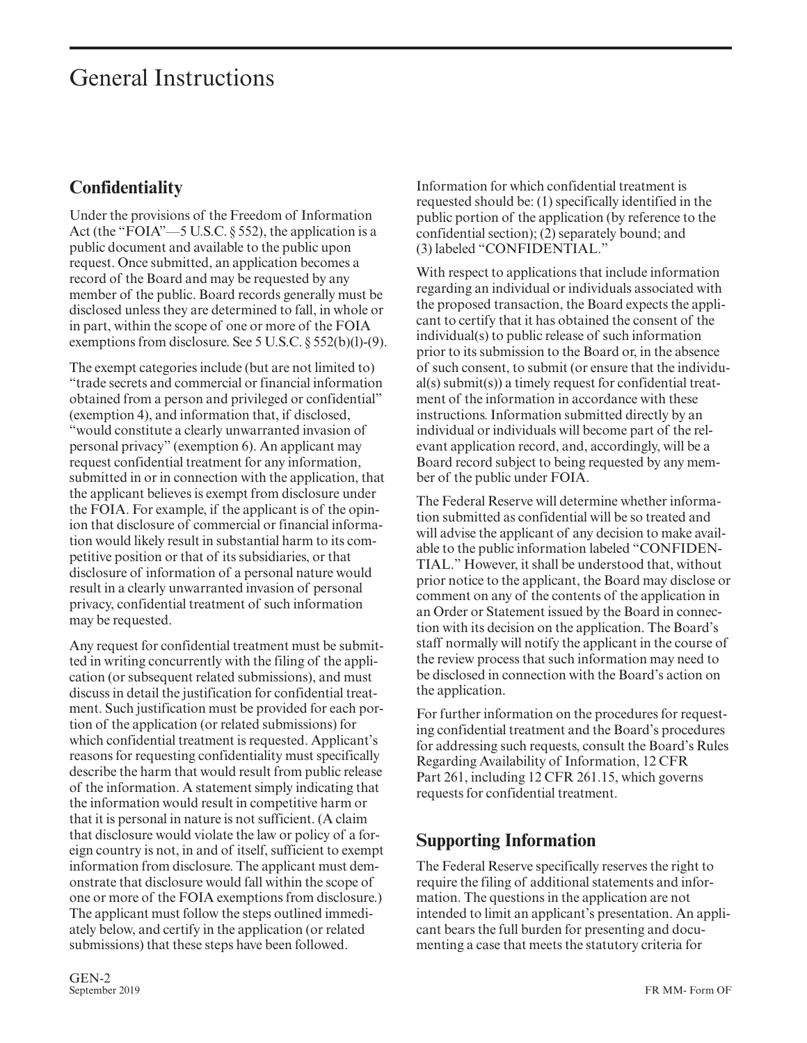# General Instructions

## **Confidentiality**

Under the provisions of the Freedom of Information Act (the "FOIA"—5 U.S.C. § 552), the application is a public document and available to the public upon request. Once submitted, an application becomes a record of the Board and may be requested by any member of the public. Board records generally must be disclosed unless they are determined to fall, in whole or in part, within the scope of one or more of the FOIA exemptions from disclosure. See 5 U.S.C. § 552(b)(l)-(9).

The exempt categories include (but are not limited to) "trade secrets and commercial or financial information obtained from a person and privileged or confidential" (exemption 4), and information that, if disclosed, "would constitute a clearly unwarranted invasion of personal privacy" (exemption 6). An applicant may request confidential treatment for any information, submitted in or in connection with the application, that the applicant believes is exempt from disclosure under the FOIA. For example, if the applicant is of the opinion that disclosure of commercial or financial information would likely result in substantial harm to its competitive position or that of its subsidiaries, or that disclosure of information of a personal nature would result in a clearly unwarranted invasion of personal privacy, confidential treatment of such information may be requested.

Any request for confidential treatment must be submitted in writing concurrently with the filing of the application (or subsequent related submissions), and must discuss in detail the justification for confidential treatment. Such justification must be provided for each portion of the application (or related submissions) for which confidential treatment is requested. Applicant's reasons for requesting confidentiality must specifically describe the harm that would result from public release of the information. A statement simply indicating that the information would result in competitive harm or that it is personal in nature is not sufficient. (A claim that disclosure would violate the law or policy of a foreign country is not, in and of itself, sufficient to exempt information from disclosure. The applicant must demonstrate that disclosure would fall within the scope of one or more of the FOIA exemptions from disclosure.) The applicant must follow the steps outlined immediately below, and certify in the application (or related submissions) that these steps have been followed.

Information for which confidential treatment is requested should be: (1) specifically identified in the public portion of the application (by reference to the confidential section); (2) separately bound; and (3) labeled "CONFIDENTIAL."

With respect to applications that include information regarding an individual or individuals associated with the proposed transaction, the Board expects the applicant to certify that it has obtained the consent of the individual(s) to public release of such information prior to its submission to the Board or, in the absence of such consent, to submit (or ensure that the individual(s) submit(s)) a timely request for confidential treatment of the information in accordance with these instructions. Information submitted directly by an individual or individuals will become part of the relevant application record, and, accordingly, will be a Board record subject to being requested by any member of the public under FOIA.

The Federal Reserve will determine whether information submitted as confidential will be so treated and will advise the applicant of any decision to make available to the public information labeled "CONFIDEN-TIAL." However, it shall be understood that, without prior notice to the applicant, the Board may disclose or comment on any of the contents of the application in an Order or Statement issued by the Board in connection with its decision on the application. The Board's staff normally will notify the applicant in the course of the review process that such information may need to be disclosed in connection with the Board's action on the application.

For further information on the procedures for requesting confidential treatment and the Board's procedures for addressing such requests, consult the Board's Rules Regarding Availability of Information, 12 CFR Part 261, including 12 CFR 261.15, which governs requests for confidential treatment.

#### **Supporting Information**

The Federal Reserve specifically reserves the right to require the filing of additional statements and information. The questions in the application are not intended to limit an applicant's presentation. An applicant bears the full burden for presenting and documenting a case that meets the statutory criteria for

GEN-2<br>September 2019